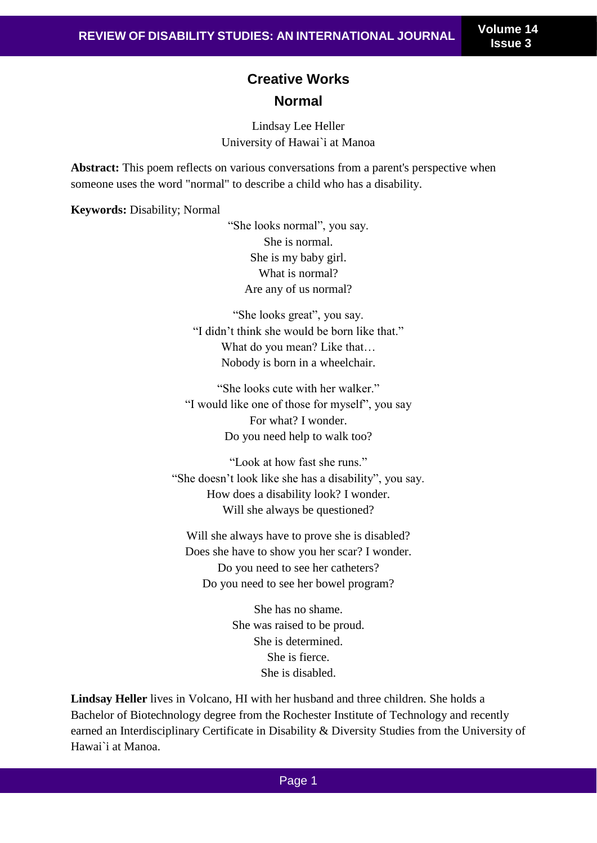## **Creative Works Normal**

Lindsay Lee Heller University of Hawai`i at Manoa

**Abstract:** This poem reflects on various conversations from a parent's perspective when someone uses the word "normal" to describe a child who has a disability.

**Keywords:** Disability; Normal

"She looks normal", you say. She is normal. She is my baby girl. What is normal? Are any of us normal?

"She looks great", you say. "I didn't think she would be born like that." What do you mean? Like that… Nobody is born in a wheelchair.

"She looks cute with her walker." "I would like one of those for myself", you say For what? I wonder. Do you need help to walk too?

"Look at how fast she runs." "She doesn't look like she has a disability", you say. How does a disability look? I wonder. Will she always be questioned?

Will she always have to prove she is disabled? Does she have to show you her scar? I wonder. Do you need to see her catheters? Do you need to see her bowel program?

> She has no shame. She was raised to be proud. She is determined. She is fierce. She is disabled.

**Lindsay Heller** lives in Volcano, HI with her husband and three children. She holds a Bachelor of Biotechnology degree from the Rochester Institute of Technology and recently earned an Interdisciplinary Certificate in Disability & Diversity Studies from the University of Hawai`i at Manoa.